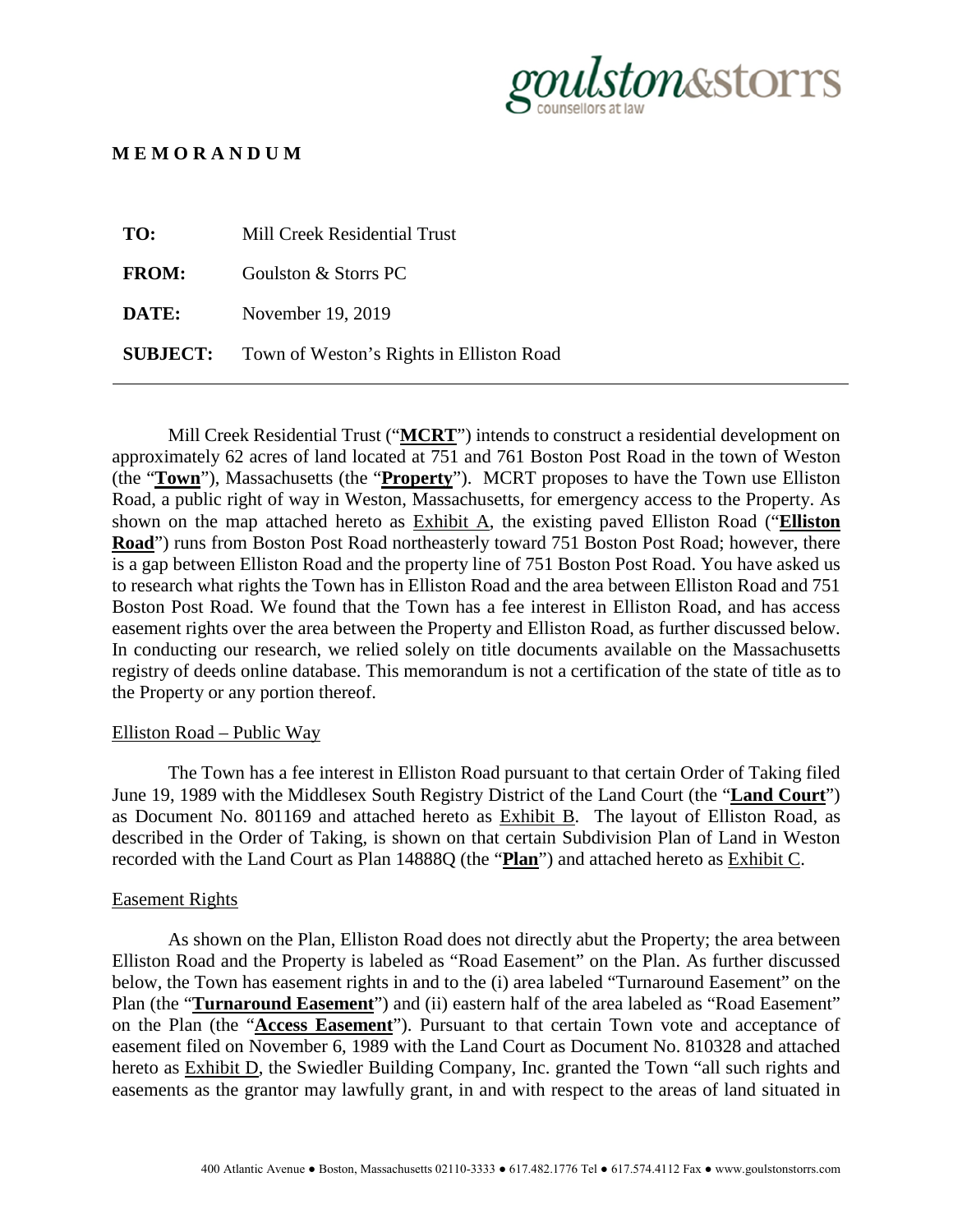

#### **M E M O R A N D U M**

| TO:          | Mill Creek Residential Trust                             |  |  |  |  |  |  |  |
|--------------|----------------------------------------------------------|--|--|--|--|--|--|--|
| <b>FROM:</b> | Goulston & Storrs PC                                     |  |  |  |  |  |  |  |
| DATE:        | November 19, 2019                                        |  |  |  |  |  |  |  |
|              | <b>SUBJECT:</b> Town of Weston's Rights in Elliston Road |  |  |  |  |  |  |  |

Mill Creek Residential Trust ("**MCRT**") intends to construct a residential development on approximately 62 acres of land located at 751 and 761 Boston Post Road in the town of Weston (the "**Town**"), Massachusetts (the "**Property**"). MCRT proposes to have the Town use Elliston Road, a public right of way in Weston, Massachusetts, for emergency access to the Property. As shown on the map attached hereto as Exhibit A, the existing paved Elliston Road ("**Elliston Road**") runs from Boston Post Road northeasterly toward 751 Boston Post Road; however, there is a gap between Elliston Road and the property line of 751 Boston Post Road. You have asked us to research what rights the Town has in Elliston Road and the area between Elliston Road and 751 Boston Post Road. We found that the Town has a fee interest in Elliston Road, and has access easement rights over the area between the Property and Elliston Road, as further discussed below. In conducting our research, we relied solely on title documents available on the Massachusetts registry of deeds online database. This memorandum is not a certification of the state of title as to the Property or any portion thereof.

#### Elliston Road – Public Way

The Town has a fee interest in Elliston Road pursuant to that certain Order of Taking filed June 19, 1989 with the Middlesex South Registry District of the Land Court (the "**Land Court**") as Document No. 801169 and attached hereto as Exhibit B. The layout of Elliston Road, as described in the Order of Taking, is shown on that certain Subdivision Plan of Land in Weston recorded with the Land Court as Plan 14888Q (the "**Plan**") and attached hereto as Exhibit C.

#### Easement Rights

As shown on the Plan, Elliston Road does not directly abut the Property; the area between Elliston Road and the Property is labeled as "Road Easement" on the Plan. As further discussed below, the Town has easement rights in and to the (i) area labeled "Turnaround Easement" on the Plan (the "**Turnaround Easement**") and (ii) eastern half of the area labeled as "Road Easement" on the Plan (the "**Access Easement**"). Pursuant to that certain Town vote and acceptance of easement filed on November 6, 1989 with the Land Court as Document No. 810328 and attached hereto as Exhibit D, the Swiedler Building Company, Inc. granted the Town "all such rights and easements as the grantor may lawfully grant, in and with respect to the areas of land situated in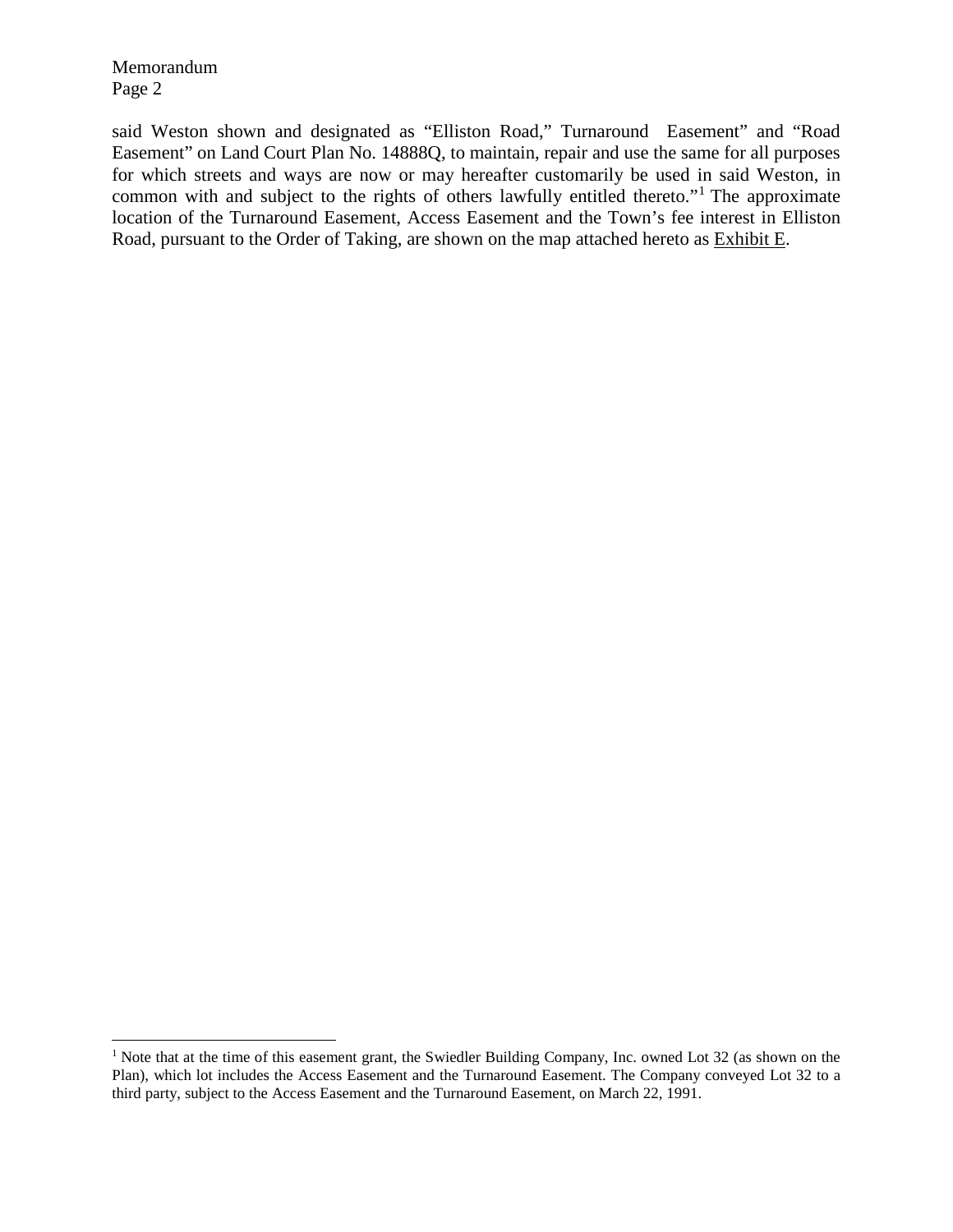Memorandum Page 2

said Weston shown and designated as "Elliston Road," Turnaround Easement" and "Road Easement" on Land Court Plan No. 14888Q, to maintain, repair and use the same for all purposes for which streets and ways are now or may hereafter customarily be used in said Weston, in common with and subject to the rights of others lawfully entitled thereto."<sup>1</sup> The approximate location of the Turnaround Easement, Access Easement and the Town's fee interest in Elliston Road, pursuant to the Order of Taking, are shown on the map attached hereto as Exhibit E.

<sup>&</sup>lt;sup>1</sup> Note that at the time of this easement grant, the Swiedler Building Company, Inc. owned Lot 32 (as shown on the Plan), which lot includes the Access Easement and the Turnaround Easement. The Company conveyed Lot 32 to a third party, subject to the Access Easement and the Turnaround Easement, on March 22, 1991.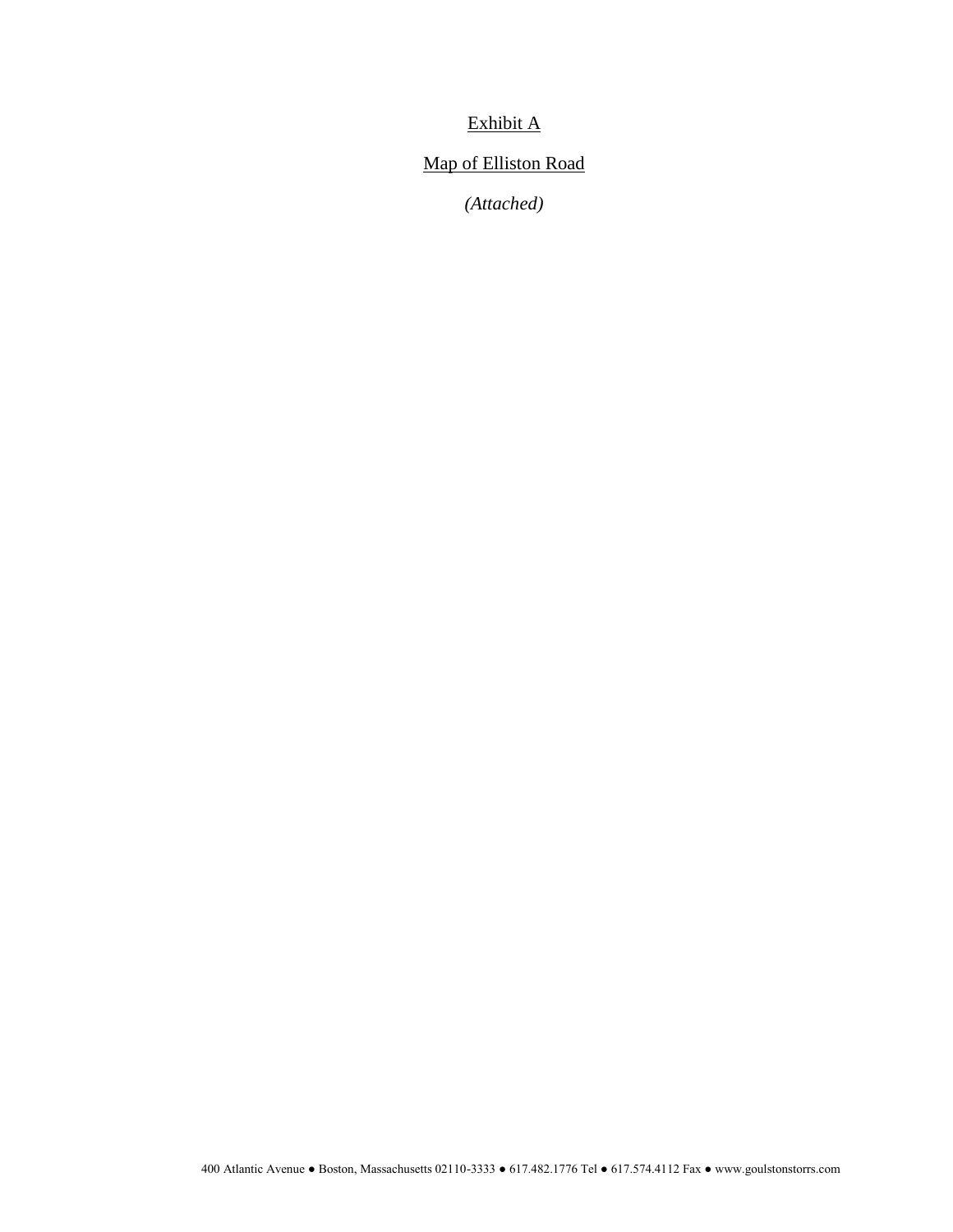## Exhibit A

## Map of Elliston Road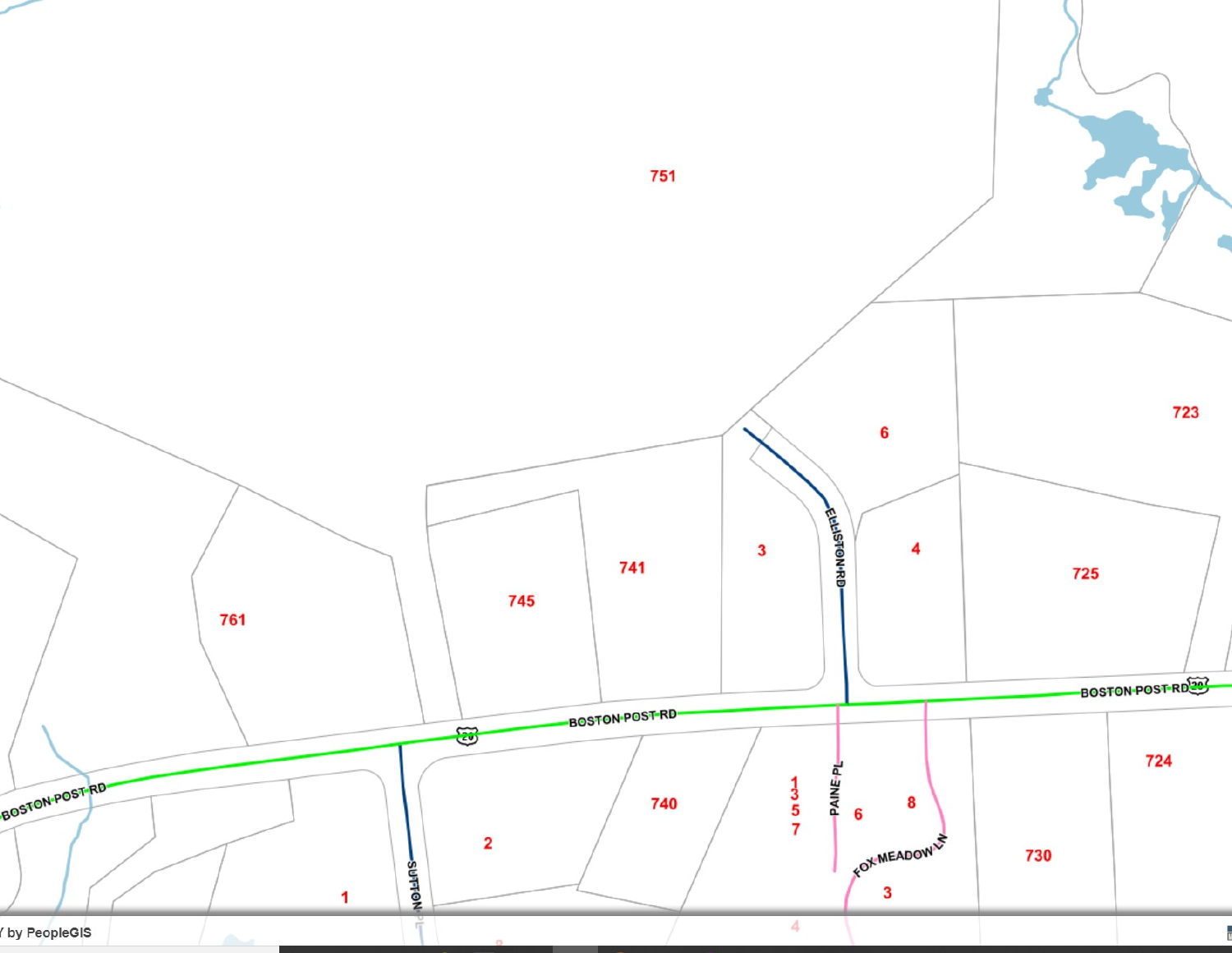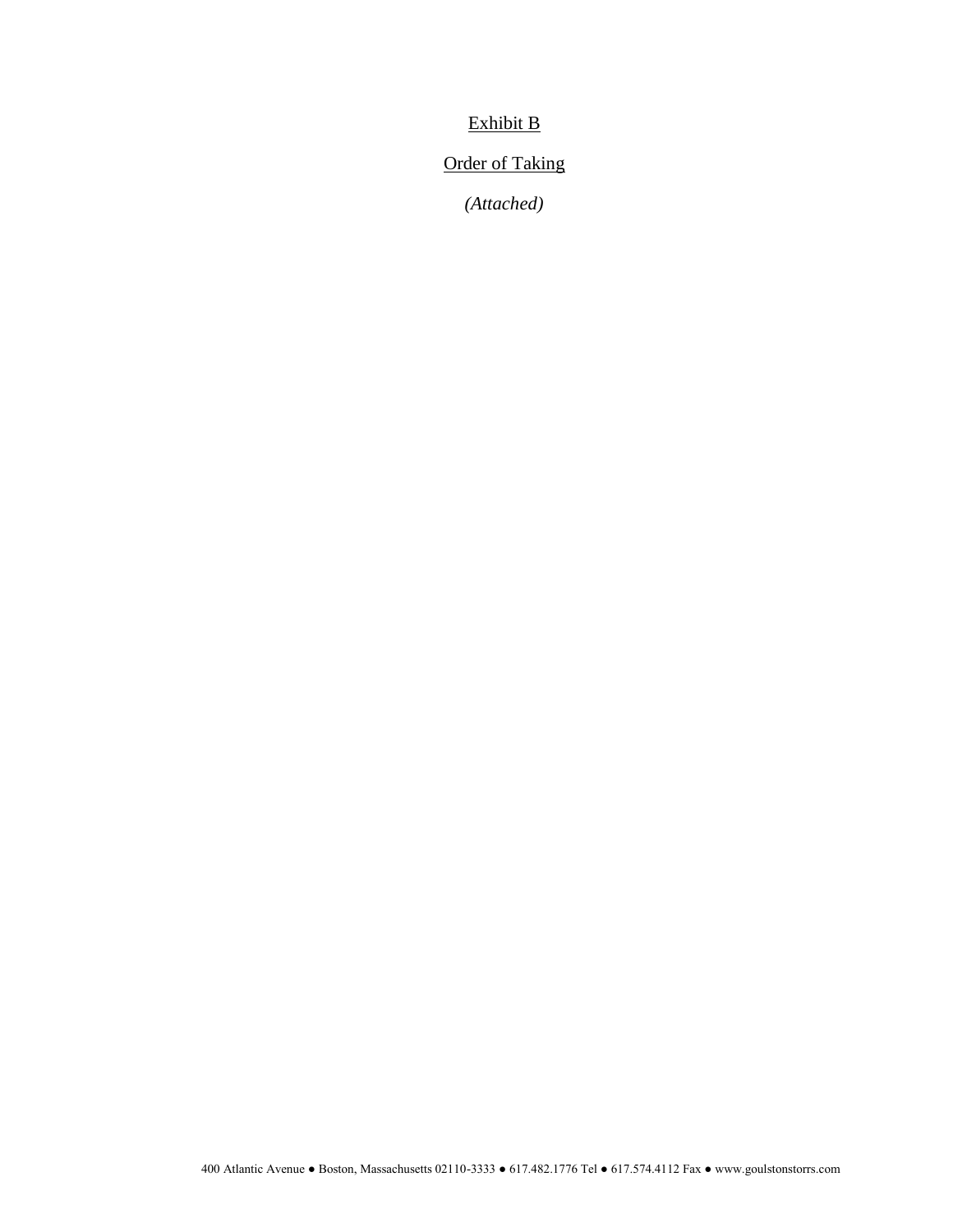## Exhibit B

## Order of Taking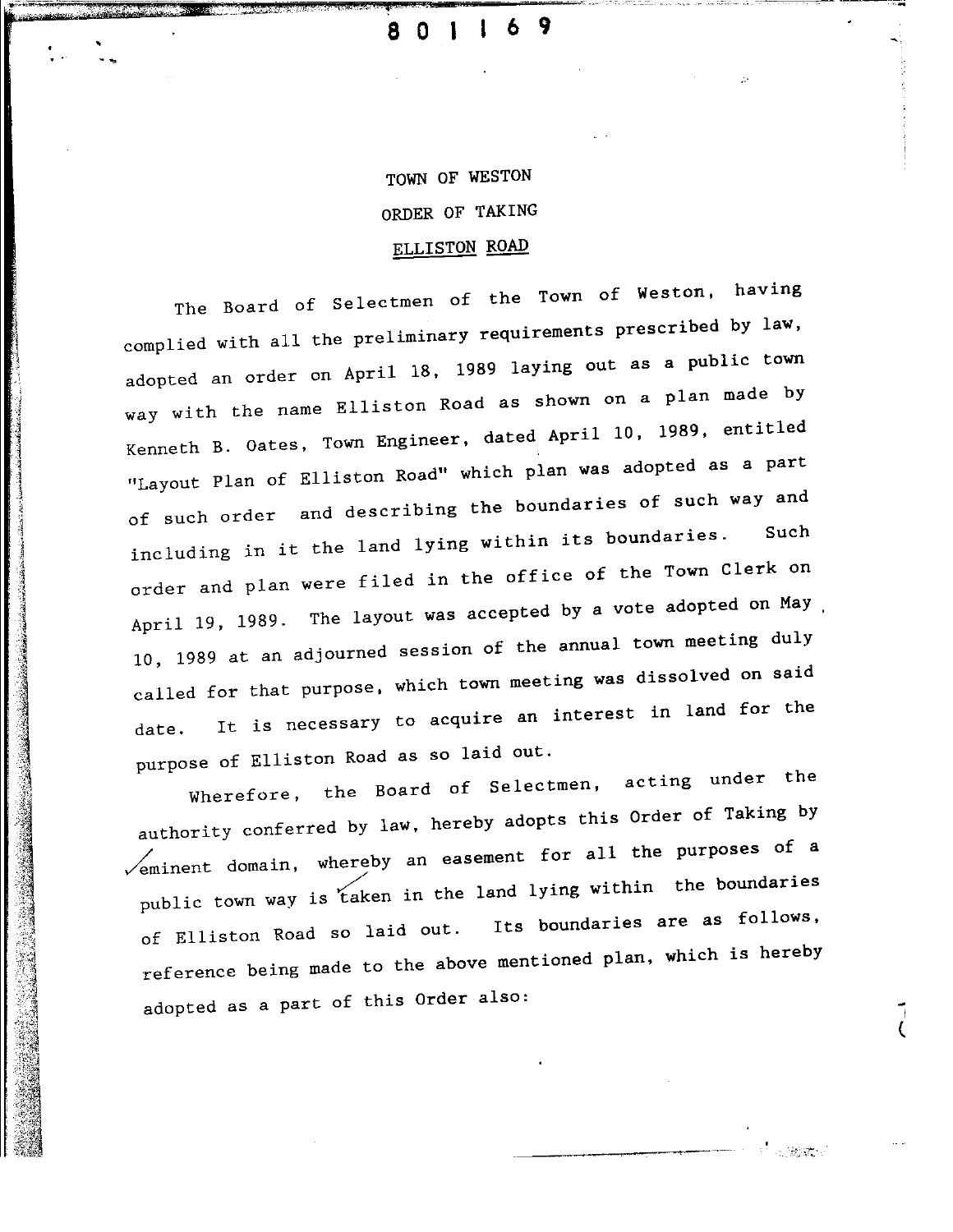# TOWN OF WESTON ORDER OF TAKING ELLISTON ROAD

The Board of Selectmen of the Town of Weston, having complied with all the preliminary requirements prescribed by law, adopted an order on April 18, 1989 laying out as a public town way with the name Elliston Road as shown on a plan made by Kenneth B. Oates, Town Engineer, dated April 10, 1989, entitled "Layout Plan of Elliston Road" which plan was adopted as a part of such order and describing the boundaries of such way and including in it the land lying within its boundaries. Such order and plan were filed in the office of the Town Clerk on April 19, 1989. The layout was accepted by a vote adopted on May. 10, 1989 at an adjourned session of the annual town meeting duly called for that purpose, which town meeting was dissolved on said It is necessary to acquire an interest in land for the date. purpose of Elliston Road as so laid out.

Wherefore, the Board of Selectmen, acting under the authority conferred by law, hereby adopts this Order of Taking by  $\sqrt{\text{eminent}}$  domain, whereby an easement for all the purposes of a public town way is taken in the land lying within the boundaries Its boundaries are as follows, of Elliston Road so laid out. reference being made to the above mentioned plan, which is hereby adopted as a part of this Order also:

- 383歳 -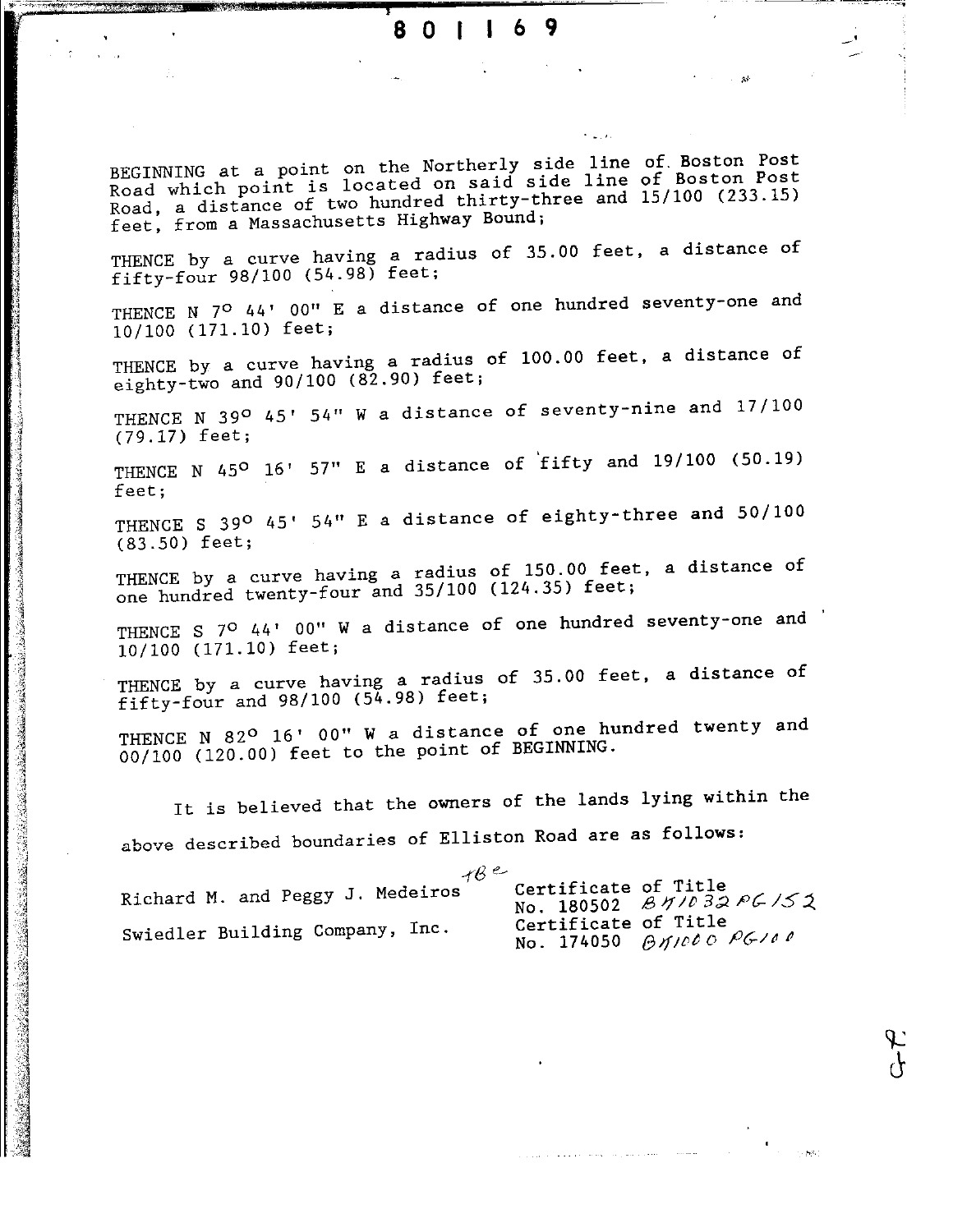#### $169$ 80 I

BEGINNING at a point on the Northerly side line of Boston Post<br>Road which point is located on said side line of Boston Post<br>Road, a distance of two hundred thirty-three and 15/100 (233.15) feet, from a Massachusetts Highway Bound;

THENCE by a curve having a radius of 35.00 feet, a distance of fifty-four 98/100 (54.98) feet;

THENCE N 7º 44' 00" E a distance of one hundred seventy-one and 10/100 (171.10) feet;

THENCE by a curve having a radius of 100.00 feet, a distance of eighty-two and  $90/100$  (82.90) feet;

THENCE N 39° 45' 54" W a distance of seventy-nine and 17/100 (79.17) feet:

THENCE N 45° 16' 57" E a distance of fifty and 19/100 (50.19) feet;

THENCE S 39° 45' 54" E a distance of eighty-three and 50/100  $(83.50)$  feet;

THENCE by a curve having a radius of 150.00 feet, a distance of one hundred twenty-four and 35/100 (124.35) feet;

THENCE S 7º 44' 00" W a distance of one hundred seventy-one and 10/100 (171.10) feet;

THENCE by a curve having a radius of 35.00 feet, a distance of fifty-four and 98/100 (54.98) feet;

THENCE N 82° 16' 00" W a distance of one hundred twenty and 00/100 (120.00) feet to the point of BEGINNING.

It is believed that the owners of the lands lying within the above described boundaries of Elliston Road are as follows:

 $ABe$ Certificate of Title Richard M. and Peggy J. Medeiros No. 180502  $\cancel{B}$  17032 PC 152 Certificate of Title Swiedler Building Company, Inc. No. 174050 BAIODO PG100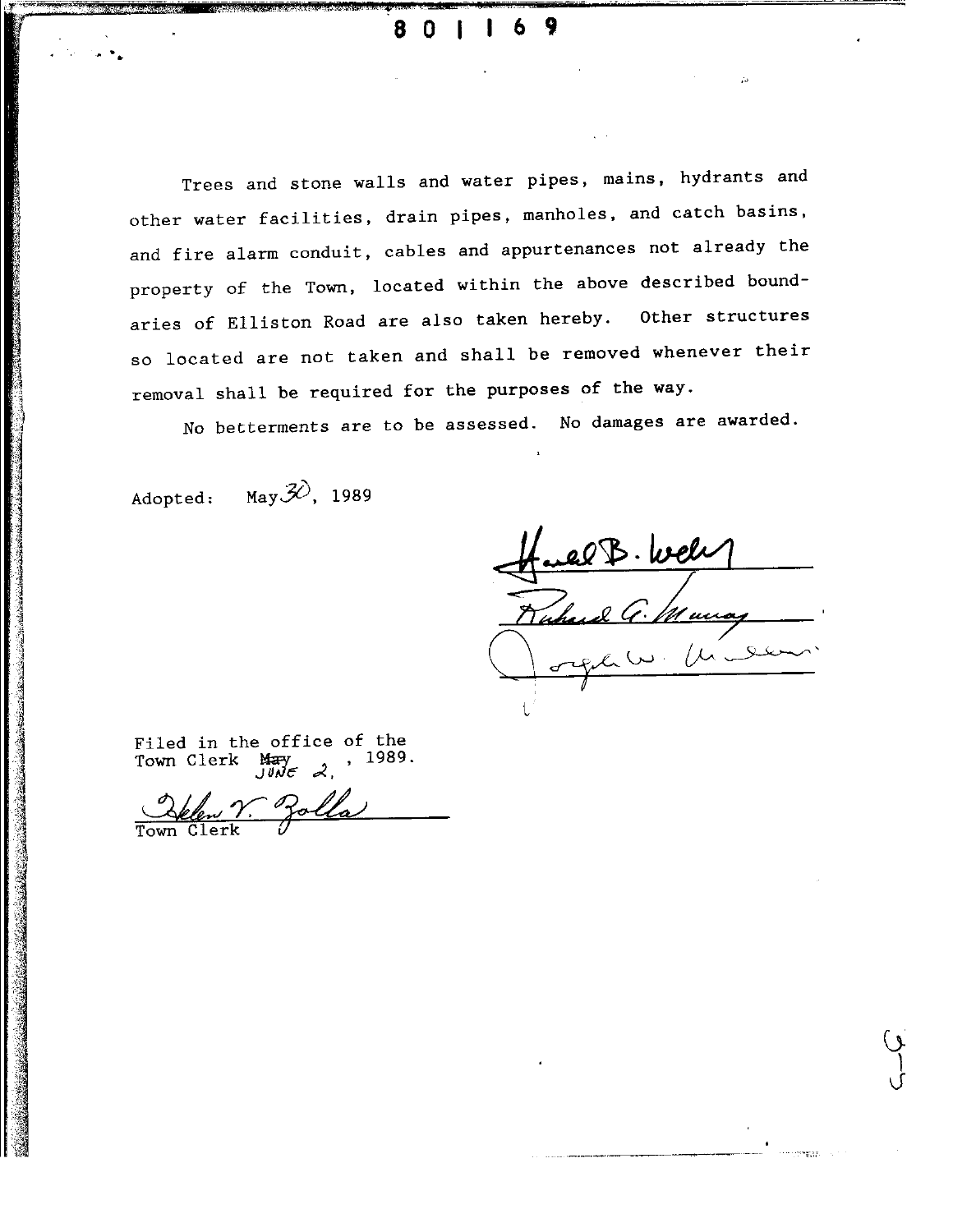801169

Trees and stone walls and water pipes, mains, hydrants and other water facilities, drain pipes, manholes, and catch basins, and fire alarm conduit, cables and appurtenances not already the property of the Town, located within the above described boundaries of Elliston Road are also taken hereby. Other structures so located are not taken and shall be removed whenever their removal shall be required for the purposes of the way.

No betterments are to be assessed. No damages are awarded.

May $\mathscr{Z}$ , 1989 Adopted:

Harle B. Well

Filed in the office of the Filed in  $\frac{1}{10N\epsilon}$   $\frac{1}{2}$ . 1989.

<u>V. Zolla</u>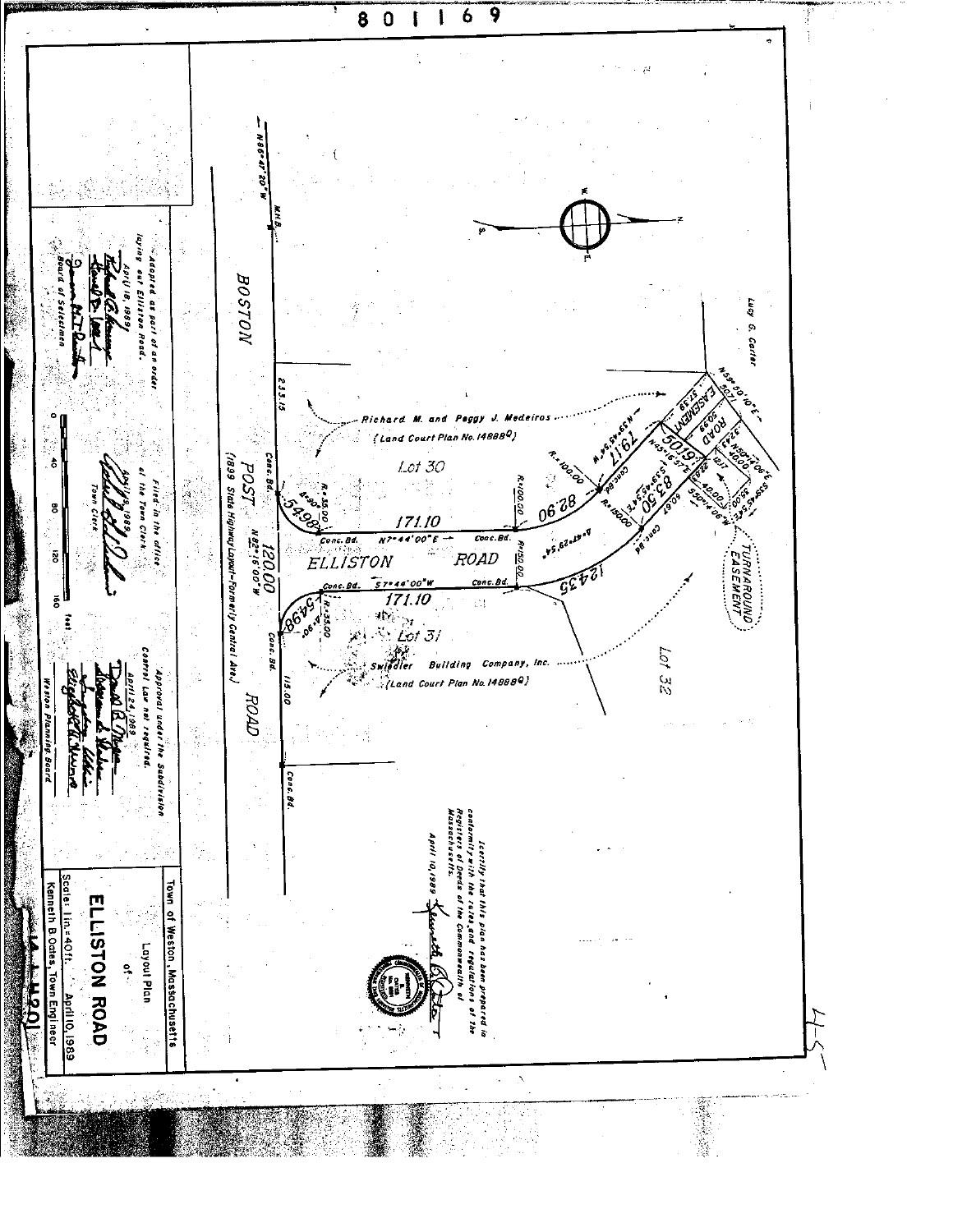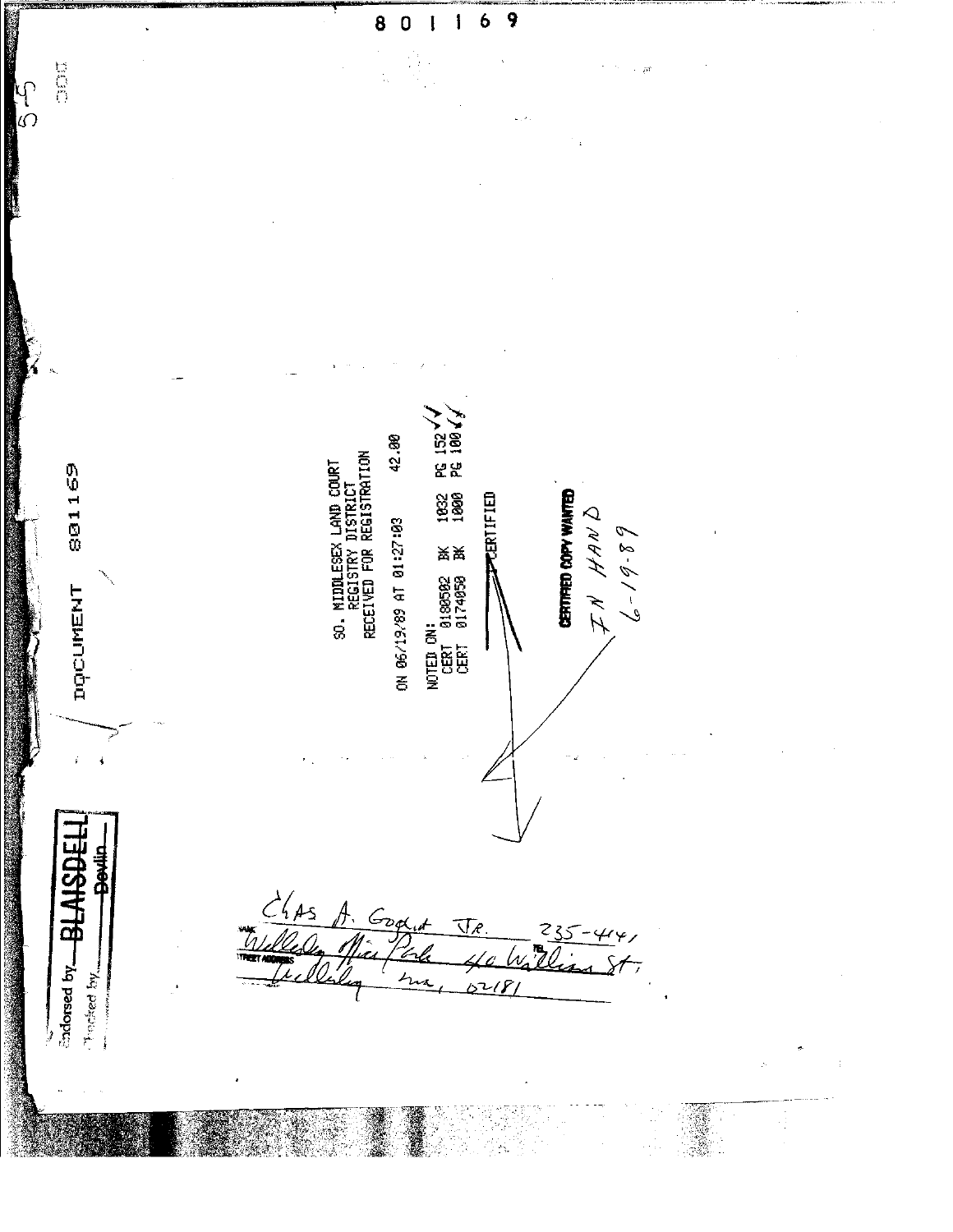**CUCCCO** 6 9 8  $\mathbf 0$  $\mathbf i$ **DES**  $\frac{1}{2}$ **PG 152VV**<br>PG 100 VV 42.00 SO. MIDDLESEX LAND COURT<br>REGISTRY DISTRICT<br>RECEIVED FOR REGISTRATION 801169 1832<br>1880 **CERTIFIED COPY WANTED PERTIFIED** ANH KI ON 06/19/89 AT 01:27:03  $6 - 19 - 89$ NOTED ON:<br>CERT 0130502 BX<br>CERT 0174650 BX DOCUMENT **Endorsed by BLAISBEI** 并未代  $\frac{\lambda}{\lambda}$ /As  $G_{\mathcal{D}\not\!\!\!\!C}$ <u>्र</u> Pecked by.  $\overline{A}$  $\overline{\mathcal{L}}$  $\frac{1}{2}$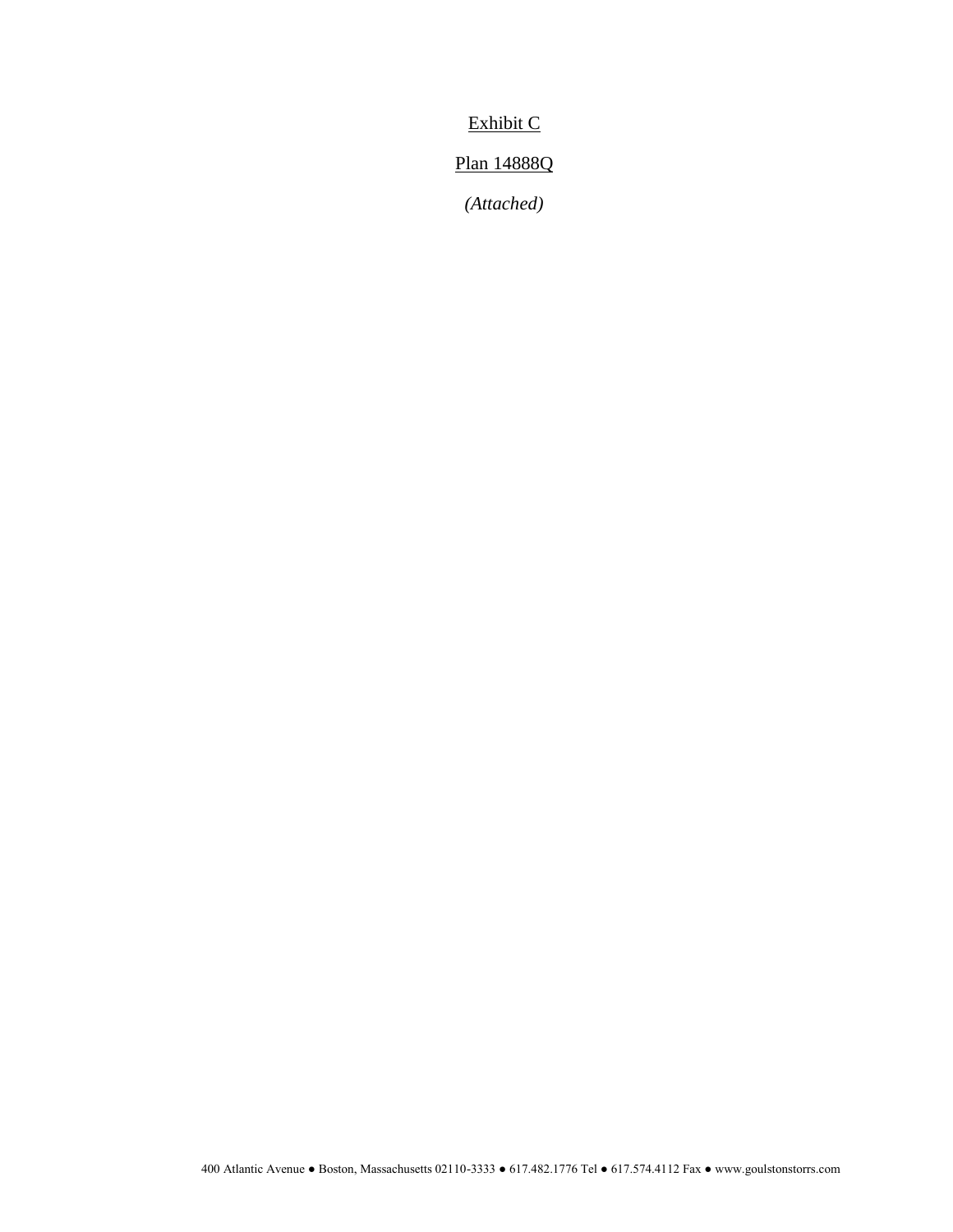Exhibit C

## Plan 14888Q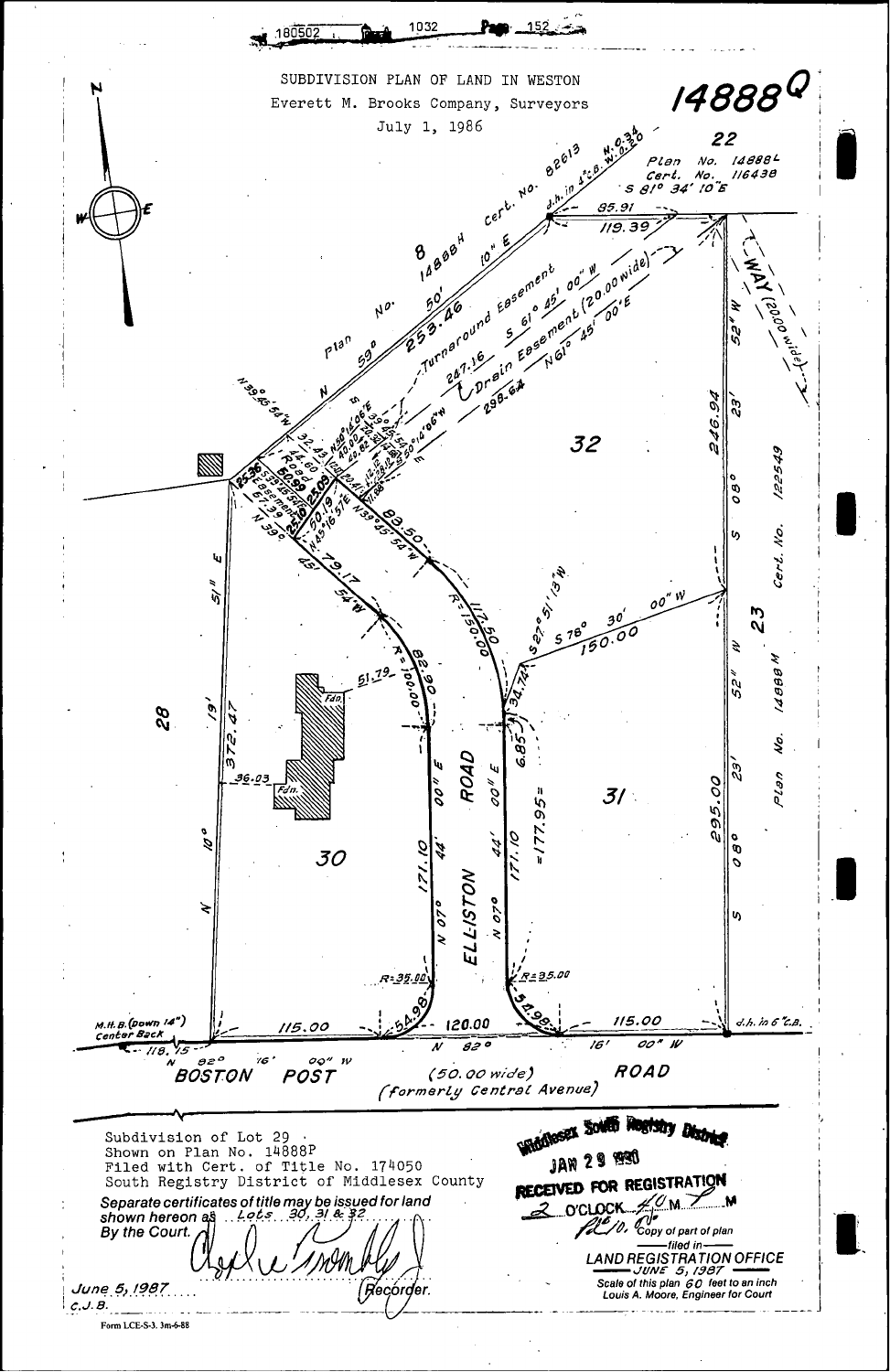1032 152 180502 14888<sup>Q</sup> SUBDIVISION PLAN OF LAND IN WESTON Everett M. Brooks Company, Surveyors July 1, 1986 22 82613 148881 No. Plan  $116438$ Cert. No.<br>5 81° 34' 10"E Cerb. No. 85.9i  $1/9.39$ 14888H Drain Easement (20,00 wide) Turnaround Easement  $N^{\rho}$ ŋ,  $p13^n$ 247.16 298-64  $\frac{\partial}{\partial}$ 246. 32 62554 W 9 Cert. No. tŋ ų, ø, ý, m  $578^{\circ}$ N Ō  $\widetilde{50}$ ź  $2^{1}$ 14888 52  $\mathcal{S}_{\mathcal{S}}$ Ø éy. ROAD m Ч UB1d 36.03 oo". 295.00 00  $\mathbf{h}$  $3/$ ৸  $\omega$  $777$ ۰ s). 12 Ø,  $\tilde{z}$ ó  $\boldsymbol{\theta}$  $\hat{z}$ 30  $\mathcal{O}$ ELLISTON 070 ıη  $\geq$ = 35.00 : 35.OL M.H.B.(Down 14<br>Center Back  $d.h.$  in  $6$   $c.A.$ 115.00 120.00 115.00 00" W  $82^\circ$ 16  $\overline{\mathcal{N}}$ 118.15  $\theta$ 20  $76<sup>2</sup>$  $00''$  W  $\pmb{\mathcal{N}}$ ROAD **BOSTON**  $(50.00$  wide) POST (formerly Central Avenue) Widdless's South Registry District Subdivision of Lot 29 · Shown on Plan No. 14888P **JAN 29 1990** Filed with Cert. of Title No. 174050 RECEIVED FOR REGISTRATION South Registry District of Middlesex County Separate certificates of title may be issued for land<br>shown hereon as  $4.4965.39.31.837.$ 2 O'CLOCK  $40M$ M fell 10, Copy of part of plan By the Court. -tiled in-LAND REGISTRATION OFFICE Scale of this plan 60 feet to an inch June 5, 1987 | Recorder. Louis A. Moore, Engineer for Court  $|c.J.B.|$ <u>in Liensen in der</u> Form LCE-S-3. 3m-6-88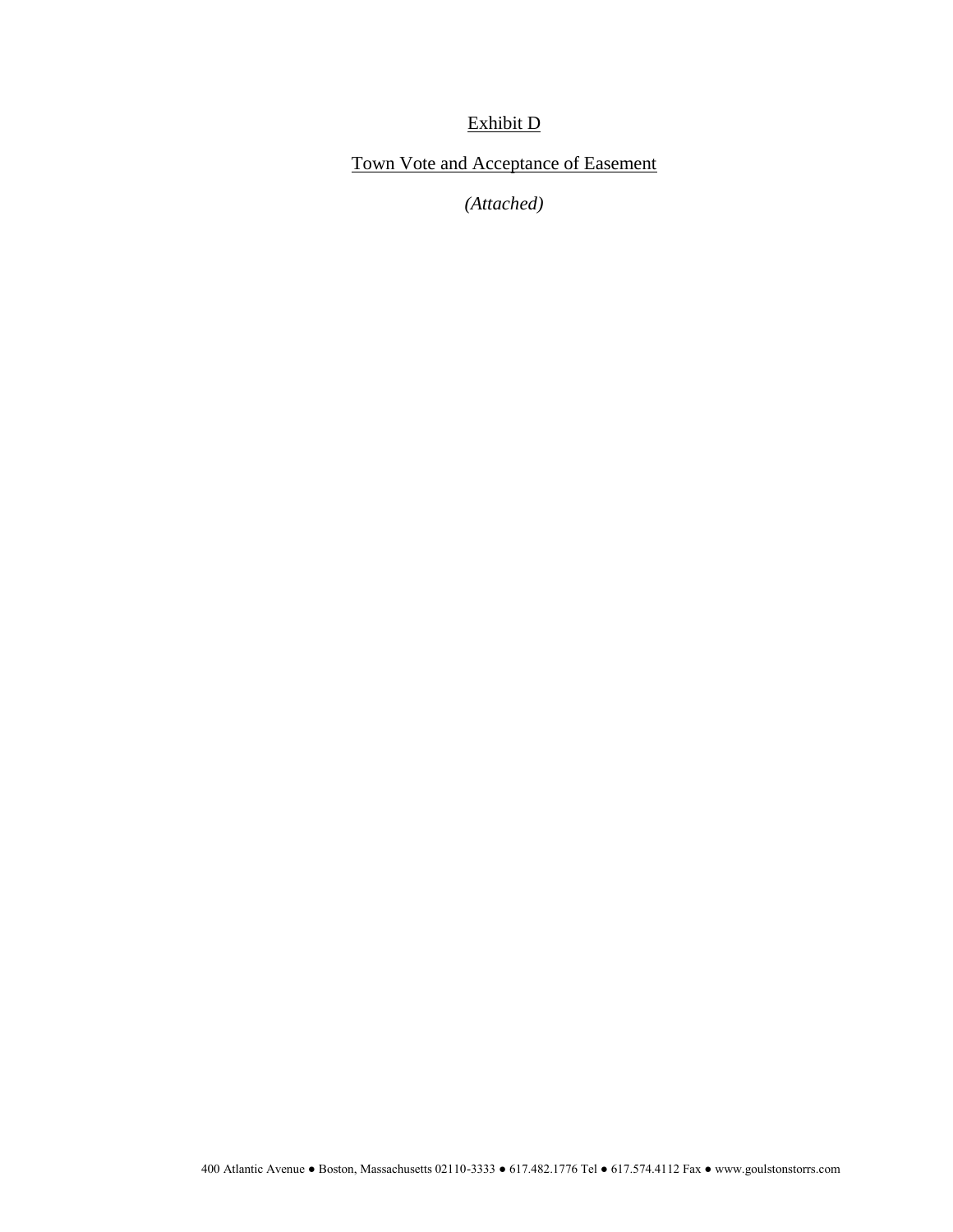## Exhibit D

Town Vote and Acceptance of Easement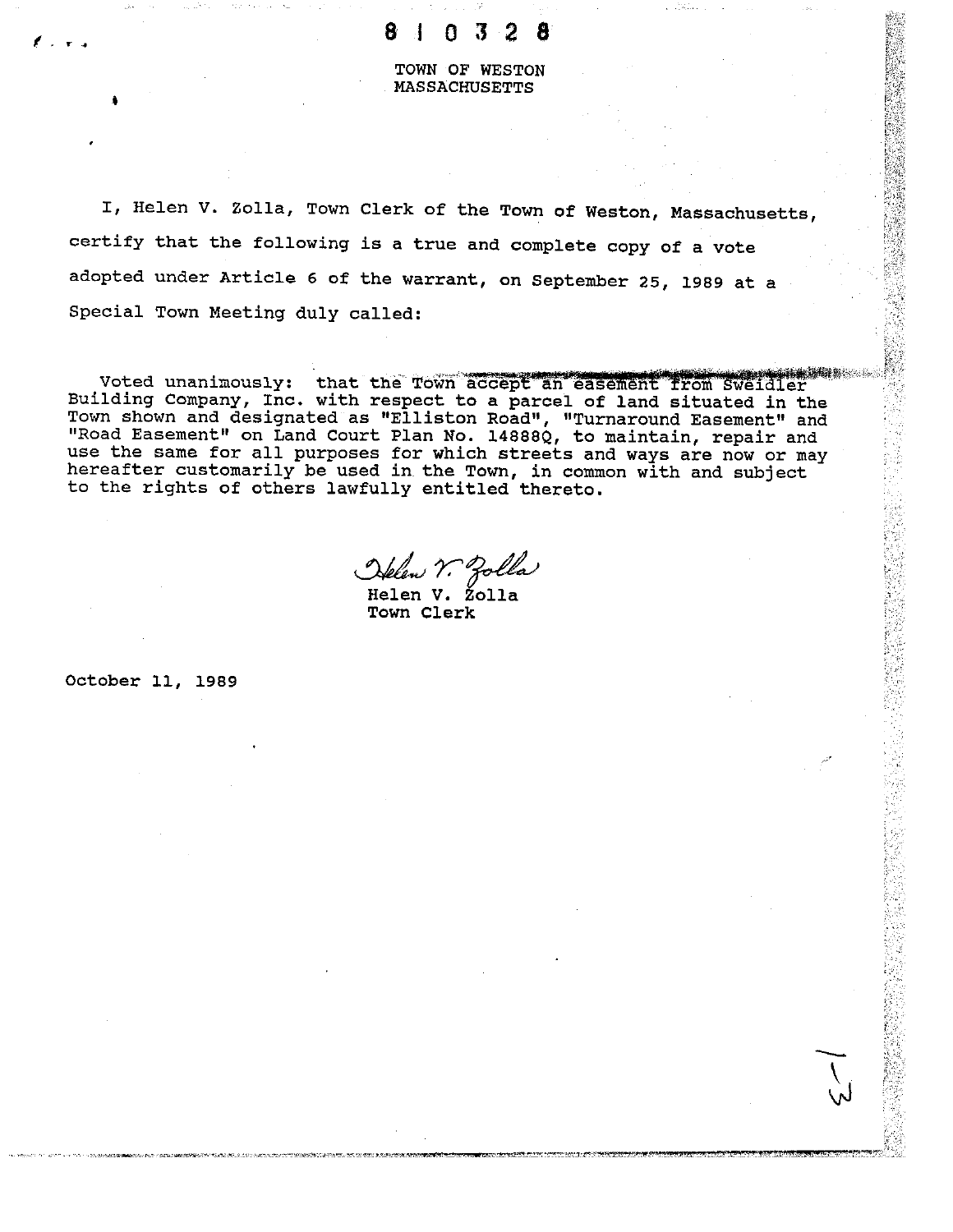TOWN OF WESTON **MASSACHUSETTS** 

I, Helen V. Zolla, Town Clerk of the Town of Weston, Massachusetts, certify that the following is a true and complete copy of a vote adopted under Article 6 of the warrant, on September 25, 1989 at a Special Town Meeting duly called:

that the Town accept an easement from Sweidler Voted unanimously: Building Company, Inc. with respect to a parcel of land situated in the Town shown and designated as "Elliston Road", "Turnaround Easement" and<br>"Road Easement" on Land Court Plan No. 14888Q, to maintain, repair and<br>use the same for all purposes for which streets and ways are now or may hereafter customarily be used in the Town, in common with and subject to the rights of others lawfully entitled thereto.

Žolla Helen V. Town Clerk

October 11, 1989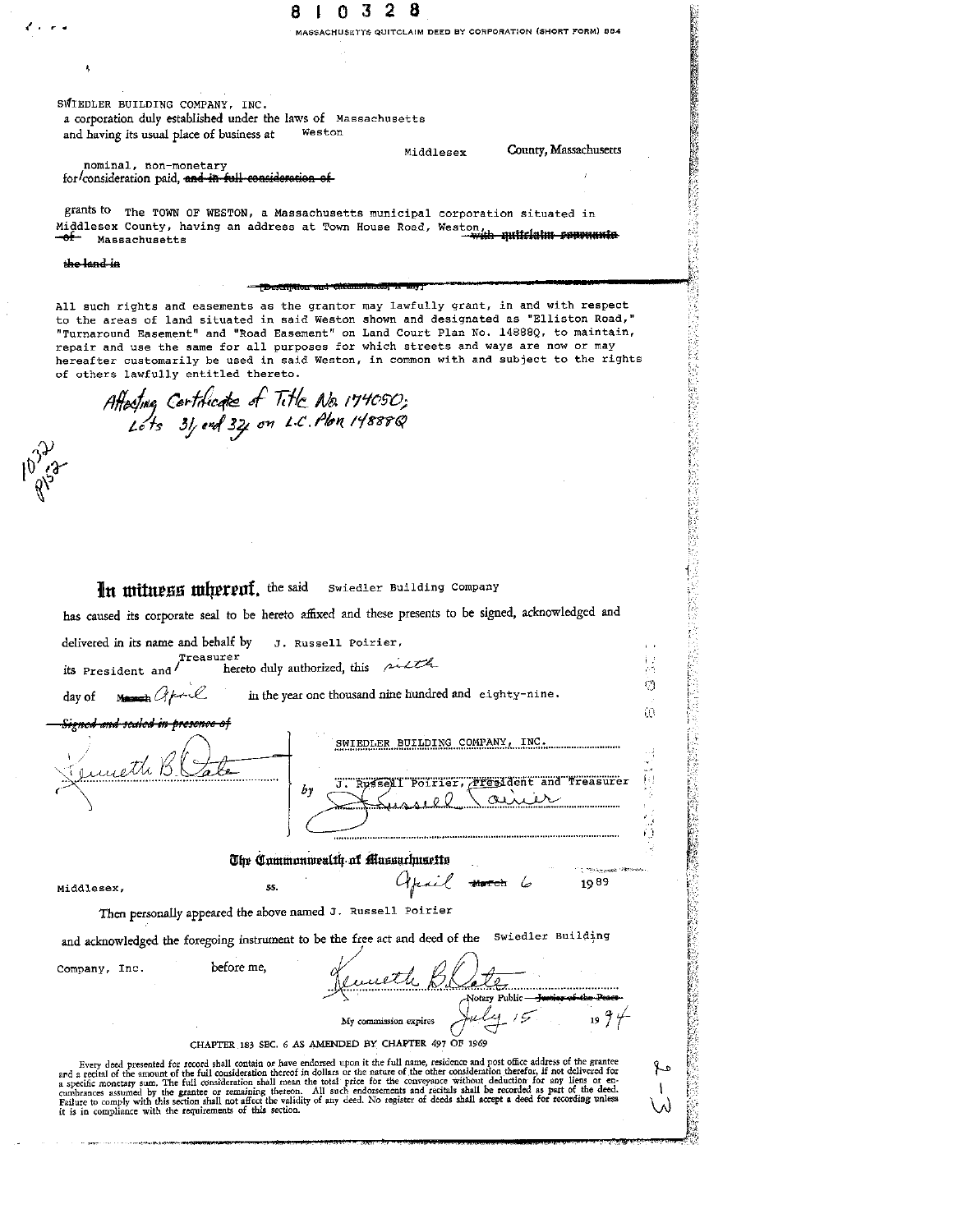$10328$ 8

MASSACHUSETTS OUITCLAIM DEED BY CORPORATION (SHORT FORM) 884

SWIEDLER BUILDING COMPANY, INC. a corporation duly established under the laws of Massachusetts Weston and having its usual place of business at

Middlesex

County, Massachusetts

nominal, non-monetary for/consideration paid, and in full consideration

grants to The TOWN OF WESTON, a Massachusetts municipal corporation situated in grams to the found of nabitary a massessed commerced from the constant of the substitution of the server of the<br>Middlesex County, having an address at Town House Road, Western, with multimum farmer Massachusetts

#### the land in

All such rights and easements as the grantor may lawfully grant, in and with respect to the areas of land situated in said Weston shown and designated as "Elliston Road," "Turnaround Easement" and "Road Easement" on Land Court Plan No. 14888Q, to maintain, repair and use the same for all purposes for which streets and ways are now or may hereafter customarily be used in said Weston, in common with and subject to the rights of others lawfully entitled thereto.

Affecting Certificate of Title No. 174050;<br>Lots 31 and 32 on LC. Plan 14888Q

In mitness mberent, the said Swiedler Building Company

has caused its corporate seal to be hereto affixed and these presents to be signed, acknowledged and

delivered in its name and behalf by J. Russell Poirier, Treasurer hereto duly authorized, this sittle its President and Ö in the year one thousand nine hundred and eighty-nine. day of ίĤ <del>and scaled in bresen</del> SWIEDLER BUILDING COMPANY, otti 15 President and Treasurer പ The Commonwealth of Massachusetts 1989 april Middlesex, ss. Then personally appeared the above named J. Russell Poirier and acknowledged the foregoing instrument to be the free act and deed of the Swiedler Building before me, Company, Inc. Notary Publi My commission expires CHAPTER 183 SEC. 6 AS AMENDED BY CHAPTER 497 OF 1969 Every deed presented for record shall contain or have endorsed upon it the full name, residence and post office address of the grantee and a recital of the amount of the full consideration thereof in dollars or the nature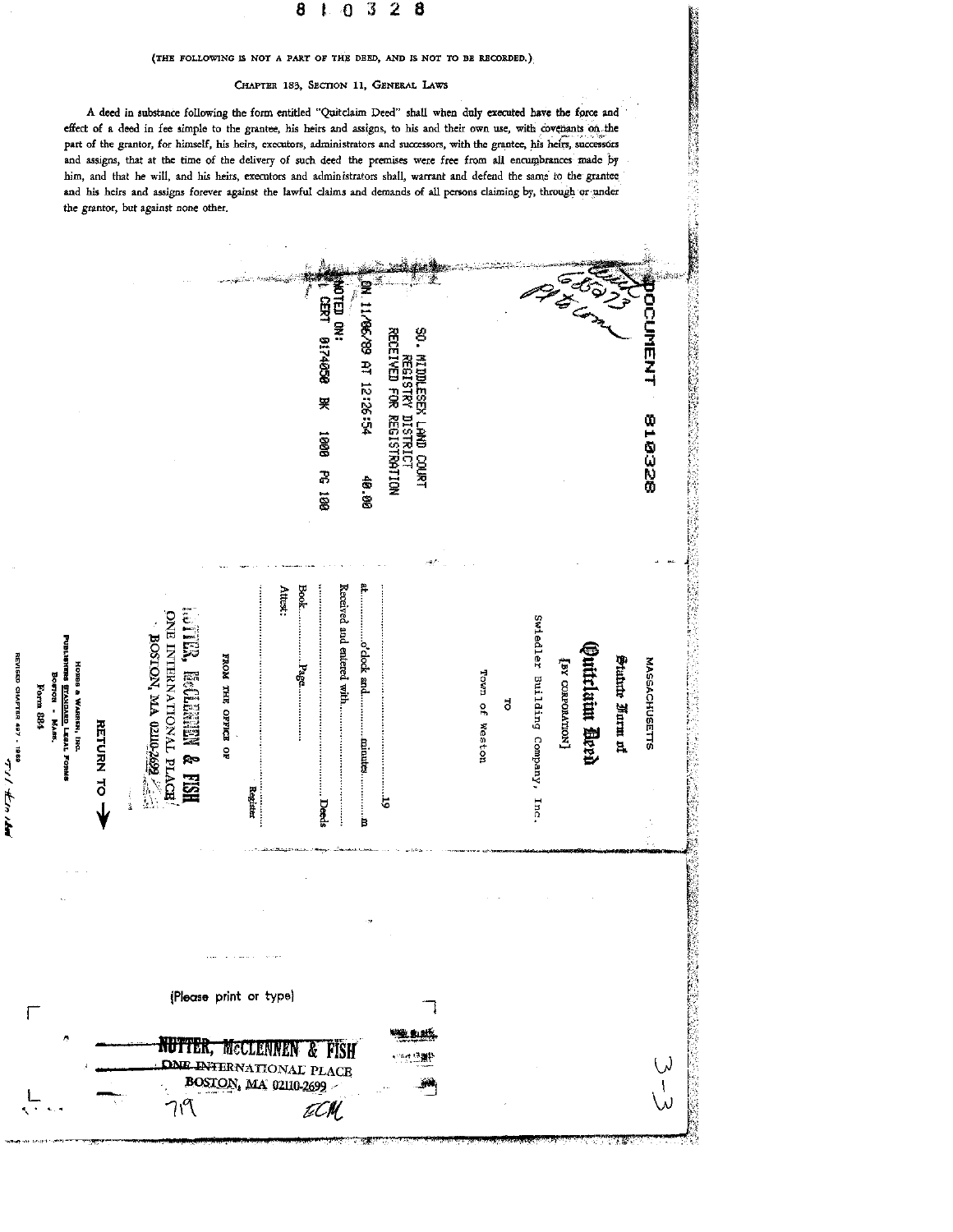#### 8  $10328$

#### CHAPTER 183, SECTION 11, GENERAL LAWS

|                                                                                                                               |           | A deed in substance following the form entitled "Quitclaim Deed" shall when duly executed have the force and<br>effect of a deed in fee simple to the grantee, his heirs and assigns, to his and their own use, with covenants on the<br>part of the grantor, for himself, his heirs, executors, administrators and successors, with the grantee, his heirs, successors<br>and assigns, that at the time of the delivery of such deed the premises were free from all encumbrances made by<br>him, and that he will, and his heirs, executors and administrators shall, warrant and defend the same to the grantee<br>and his heirs and assigns forever against the lawful claims and demands of all persons claiming by, through or under<br>the grantor, but against none other. |                                                                             | .<br>مور <sub>ا م</sub> ین افزار اردو |                                                         |                                | (THE FOLLOWING IS NOT A PART OF THE DEED, AND IS NOT TO BE RECORDED.)<br>CHAPTER 183, SECTION 11, GENERAL LAWS |                      |                                 |                 | Gay-     |                 |                   |
|-------------------------------------------------------------------------------------------------------------------------------|-----------|------------------------------------------------------------------------------------------------------------------------------------------------------------------------------------------------------------------------------------------------------------------------------------------------------------------------------------------------------------------------------------------------------------------------------------------------------------------------------------------------------------------------------------------------------------------------------------------------------------------------------------------------------------------------------------------------------------------------------------------------------------------------------------|-----------------------------------------------------------------------------|---------------------------------------|---------------------------------------------------------|--------------------------------|----------------------------------------------------------------------------------------------------------------|----------------------|---------------------------------|-----------------|----------|-----------------|-------------------|
|                                                                                                                               |           |                                                                                                                                                                                                                                                                                                                                                                                                                                                                                                                                                                                                                                                                                                                                                                                    |                                                                             |                                       | ED OK:<br>CERT<br>8524258<br>孚<br>1960<br><b>PG</b> 199 | 1/66/99 AT 12:26:54<br>90 Br   | g<br>RECEIVED<br>Ě<br>Ê<br>CDK<br>宋<br><b>REGISTRATION</b><br><b>STRIC</b><br>Ě<br><b>SOURT</b>                |                      |                                 |                 |          |                 | しこうかてつ<br>810328  |
| é<br><b>CONTRACTOR</b><br><b>SONO1</b><br>Borron<br>F<br>Form 884<br>- MARS.<br><b>DARD</b> LEGAL FORMS<br><b>ARREN, INC.</b> | RETURN TO | 오<br>도<br><b>BOSTON, M</b><br><b>INTERNA</b><br>ES<br>CO<br><b>MELLET</b><br><b>EDAIL PLACE</b><br>6577 01170<br>ହେବ<br>ESH<br>ミネ<br>Ä                                                                                                                                                                                                                                                                                                                                                                                                                                                                                                                                                                                                                                             | TROM THE<br>OPRICE OF<br>Register                                           | Book<br>Attest:<br>Page               | Received and entered with<br>Decis                      | o'clock<br>and<br>mnutes.<br>Þ | 5                                                                                                              | Town<br>٩,<br>Weston | Swiedler Building Company, Inc. | [NOILVEOROO AE] | tim Beeh | Statute Kurm of | MASSACH<br>USETTS |
| Г                                                                                                                             |           |                                                                                                                                                                                                                                                                                                                                                                                                                                                                                                                                                                                                                                                                                                                                                                                    | (Please print or type)                                                      |                                       |                                                         |                                |                                                                                                                |                      |                                 |                 |          |                 |                   |
|                                                                                                                               |           |                                                                                                                                                                                                                                                                                                                                                                                                                                                                                                                                                                                                                                                                                                                                                                                    | <b>MCCLENNER</b><br><b>ONE INTERNATIONAL PLACE</b><br>BOSTON, MA 02110-2699 |                                       | <b>FISH</b>                                             |                                |                                                                                                                |                      |                                 |                 |          |                 |                   |

オント ポット

-47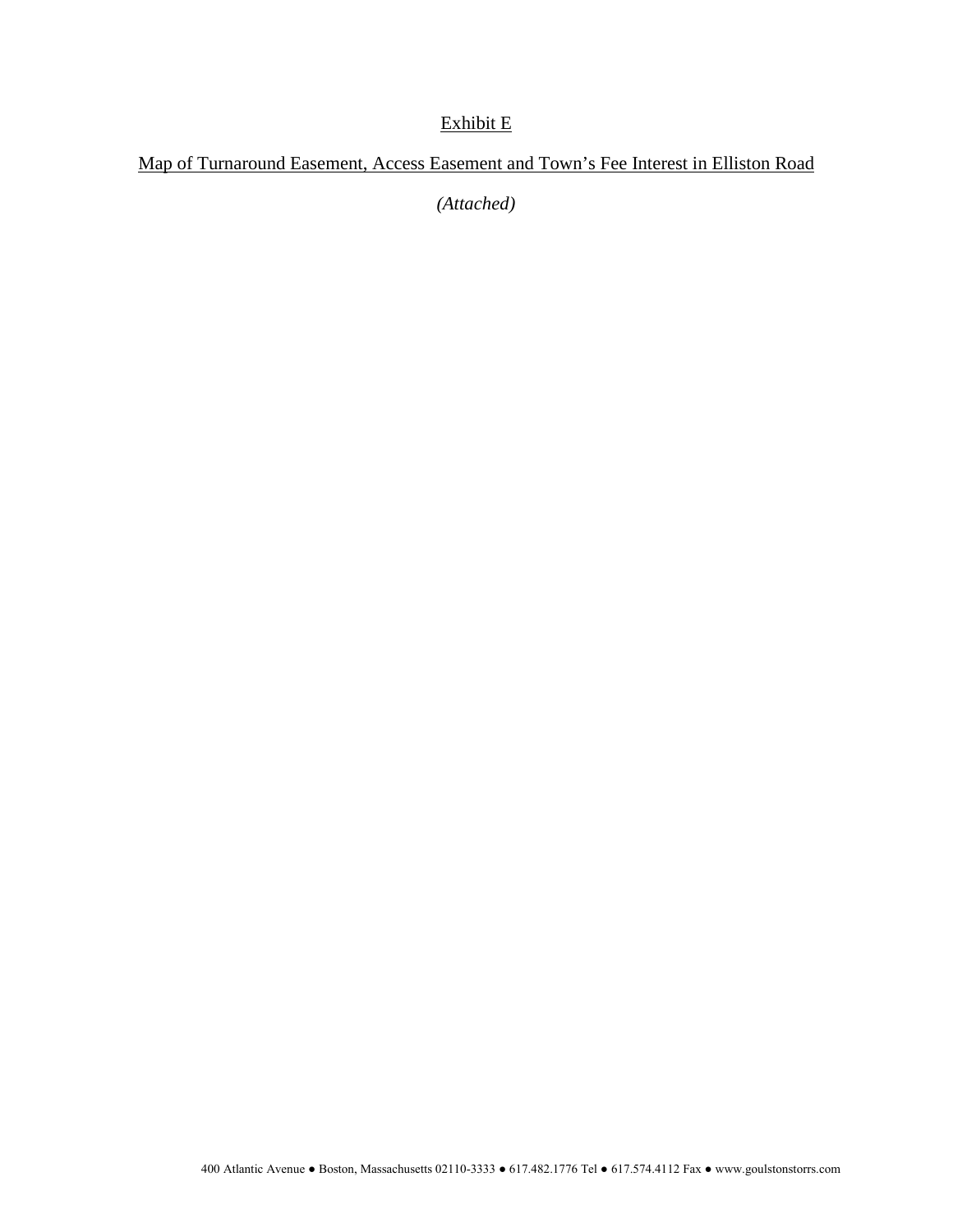### Exhibit E

### Map of Turnaround Easement, Access Easement and Town's Fee Interest in Elliston Road